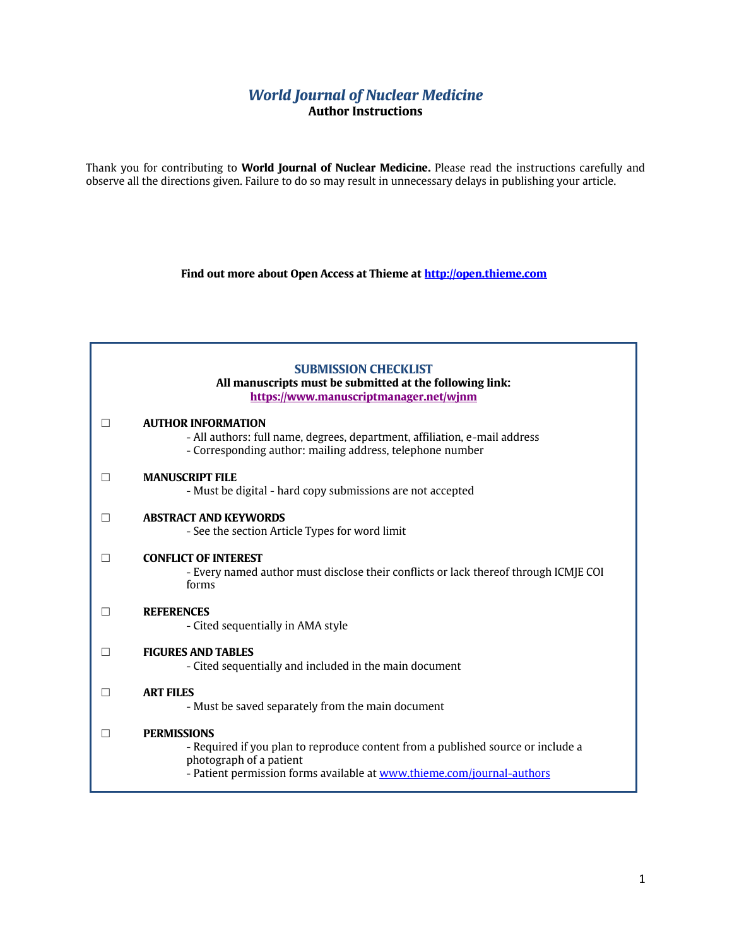## *World Journal of Nuclear Medicine* **Author Instructions**

Thank you for contributing to **World Journal of Nuclear Medicine.** Please read the instructions carefully and observe all the directions given. Failure to do so may result in unnecessary delays in publishing your article.

**Find out more about Open Access at Thieme at [http://open.thieme.com](http://open.thieme.com/)**

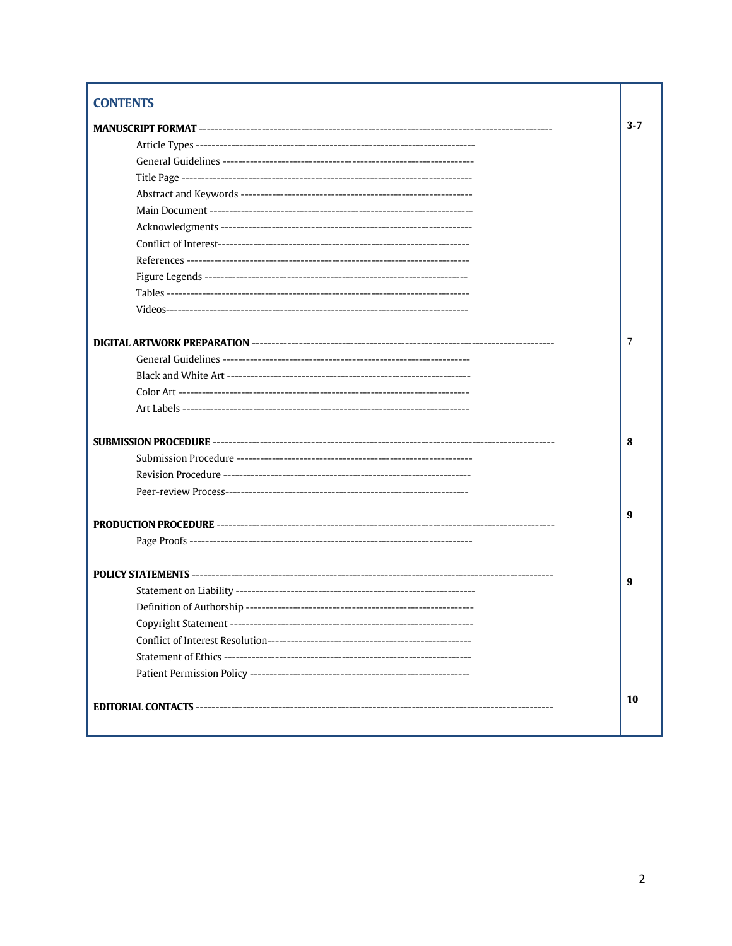# **CONTENTS**

| $3 - 7$ |
|---------|
|         |
|         |
|         |
|         |
|         |
|         |
|         |
|         |
|         |
|         |
|         |
| 7       |
|         |
|         |
|         |
|         |
|         |
| 8       |
|         |
|         |
|         |
|         |
| 9       |
|         |
|         |
|         |
| 9       |
|         |
|         |
|         |
|         |
|         |
|         |
| 10      |
|         |
|         |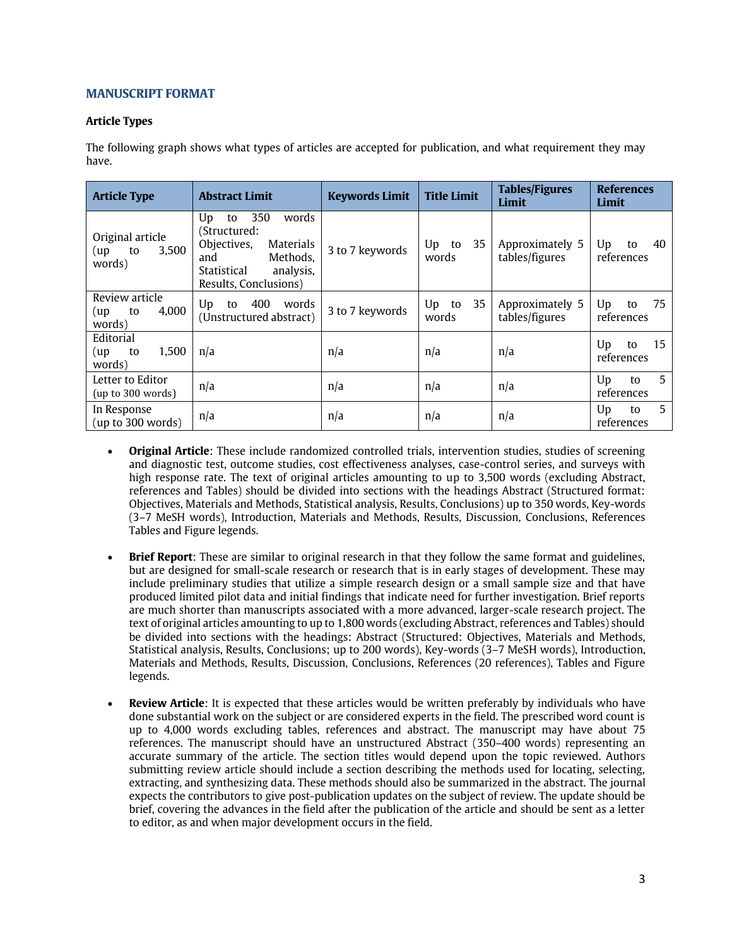## **MANUSCRIPT FORMAT**

## **Article Types**

The following graph shows what types of articles are accepted for publication, and what requirement they may have.

| <b>Article Type</b>                              | <b>Abstract Limit</b>                                                                                                                        | <b>Keywords Limit</b> | <b>Title Limit</b>      | <b>Tables/Figures</b><br>Limit    | <b>References</b><br>Limit   |
|--------------------------------------------------|----------------------------------------------------------------------------------------------------------------------------------------------|-----------------------|-------------------------|-----------------------------------|------------------------------|
| Original article<br>3,500<br>(up<br>to<br>words) | 350<br>words<br>Up<br>to<br>(Structured:<br>Objectives,<br>Materials<br>Methods.<br>and<br>Statistical<br>analysis,<br>Results, Conclusions) | 3 to 7 keywords       | 35<br>Up<br>to<br>words | Approximately 5<br>tables/figures | Up<br>40<br>to<br>references |
| Review article<br>4,000<br>to<br>(up<br>words)   | 400<br>Up<br>words<br>to<br>(Unstructured abstract)                                                                                          | 3 to 7 keywords       | 35<br>Up<br>to<br>words | Approximately 5<br>tables/figures | 75<br>Up<br>to<br>references |
| Editorial<br>1,500<br>to<br>(up<br>words)        | n/a                                                                                                                                          | n/a                   | n/a                     | n/a                               | 15<br>Up<br>to<br>references |
| Letter to Editor<br>(up to 300 words)            | n/a                                                                                                                                          | n/a                   | n/a                     | n/a                               | 5<br>Up<br>to<br>references  |
| In Response<br>(up to 300 words)                 | n/a                                                                                                                                          | n/a                   | n/a                     | n/a                               | 5<br>Up<br>to<br>references  |

- **Original Article**: These include randomized controlled trials, intervention studies, studies of screening and diagnostic test, outcome studies, cost effectiveness analyses, case-control series, and surveys with high response rate. The text of original articles amounting to up to 3,500 words (excluding Abstract, references and Tables) should be divided into sections with the headings Abstract (Structured format: Objectives, Materials and Methods, Statistical analysis, Results, Conclusions) up to 350 words, Key-words (3–7 MeSH words), Introduction, Materials and Methods, Results, Discussion, Conclusions, References Tables and Figure legends.
- **Brief Report**: These are similar to original research in that they follow the same format and guidelines, but are designed for small-scale research or research that is in early stages of development. These may include preliminary studies that utilize a simple research design or a small sample size and that have produced limited pilot data and initial findings that indicate need for further investigation. Brief reports are much shorter than manuscripts associated with a more advanced, larger-scale research project. The text of original articles amounting to up to 1,800 words (excluding Abstract, references and Tables) should be divided into sections with the headings: Abstract (Structured: Objectives, Materials and Methods, Statistical analysis, Results, Conclusions; up to 200 words), Key-words (3–7 MeSH words), Introduction, Materials and Methods, Results, Discussion, Conclusions, References (20 references), Tables and Figure legends.
- **Review Article**: It is expected that these articles would be written preferably by individuals who have done substantial work on the subject or are considered experts in the field. The prescribed word count is up to 4,000 words excluding tables, references and abstract. The manuscript may have about 75 references. The manuscript should have an unstructured Abstract (350–400 words) representing an accurate summary of the article. The section titles would depend upon the topic reviewed. Authors submitting review article should include a section describing the methods used for locating, selecting, extracting, and synthesizing data. These methods should also be summarized in the abstract. The journal expects the contributors to give post-publication updates on the subject of review. The update should be brief, covering the advances in the field after the publication of the article and should be sent as a letter to editor, as and when major development occurs in the field.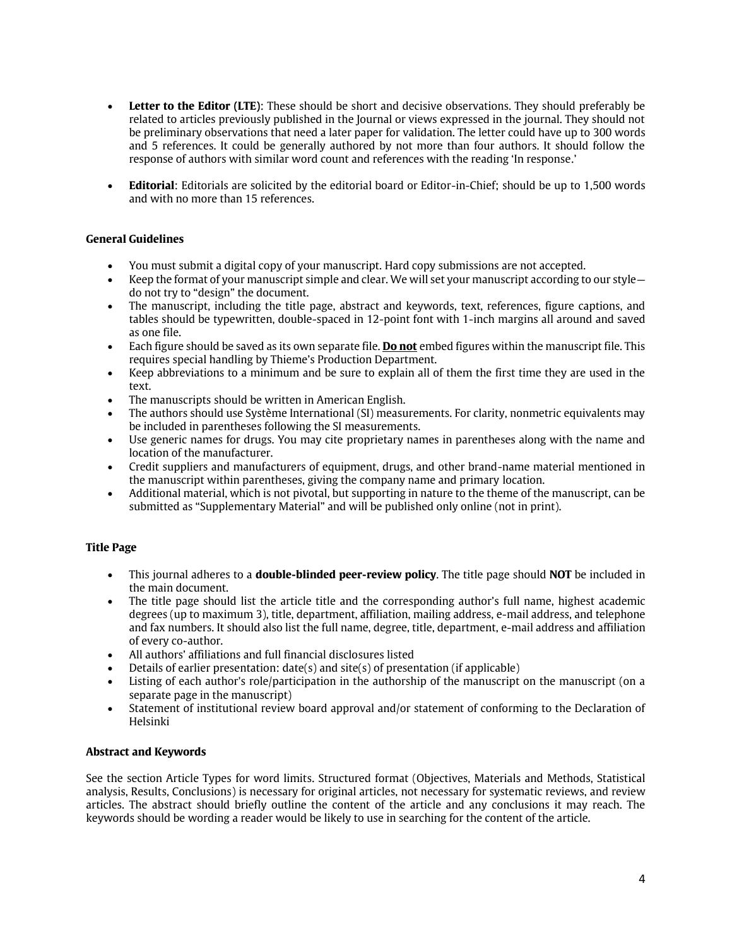- **Letter to the Editor (LTE)**: These should be short and decisive observations. They should preferably be related to articles previously published in the Journal or views expressed in the journal. They should not be preliminary observations that need a later paper for validation. The letter could have up to 300 words and 5 references. It could be generally authored by not more than four authors. It should follow the response of authors with similar word count and references with the reading 'In response.'
- **Editorial**: Editorials are solicited by the editorial board or Editor-in-Chief; should be up to 1,500 words and with no more than 15 references.

## **General Guidelines**

- You must submit a digital copy of your manuscript. Hard copy submissions are not accepted.
- Keep the format of your manuscript simple and clear. We will set your manuscript according to our style do not try to "design" the document.
- The manuscript, including the title page, abstract and keywords, text, references, figure captions, and tables should be typewritten, double-spaced in 12-point font with 1-inch margins all around and saved as one file.
- Each figure should be saved as its own separate file. **Do not** embed figures within the manuscript file. This requires special handling by Thieme's Production Department.
- Keep abbreviations to a minimum and be sure to explain all of them the first time they are used in the text.
- The manuscripts should be written in American English.
- The authors should use Système International (SI) measurements. For clarity, nonmetric equivalents may be included in parentheses following the SI measurements.
- Use generic names for drugs. You may cite proprietary names in parentheses along with the name and location of the manufacturer.
- Credit suppliers and manufacturers of equipment, drugs, and other brand-name material mentioned in the manuscript within parentheses, giving the company name and primary location.
- Additional material, which is not pivotal, but supporting in nature to the theme of the manuscript, can be submitted as "Supplementary Material" and will be published only online (not in print).

## **Title Page**

- This journal adheres to a **double-blinded peer-review policy**. The title page should **NOT** be included in the main document.
- The title page should list the article title and the corresponding author's full name, highest academic degrees (up to maximum 3), title, department, affiliation, mailing address, e-mail address, and telephone and fax numbers. It should also list the full name, degree, title, department, e-mail address and affiliation of every co-author.
- All authors' affiliations and full financial disclosures listed
- Details of earlier presentation:  $date(s)$  and site(s) of presentation (if applicable)
- Listing of each author's role/participation in the authorship of the manuscript on the manuscript (on a separate page in the manuscript)
- Statement of institutional review board approval and/or statement of conforming to the Declaration of Helsinki

## **Abstract and Keywords**

See the section Article Types for word limits. Structured format (Objectives, Materials and Methods, Statistical analysis, Results, Conclusions) is necessary for original articles, not necessary for systematic reviews, and review articles. The abstract should briefly outline the content of the article and any conclusions it may reach. The keywords should be wording a reader would be likely to use in searching for the content of the article.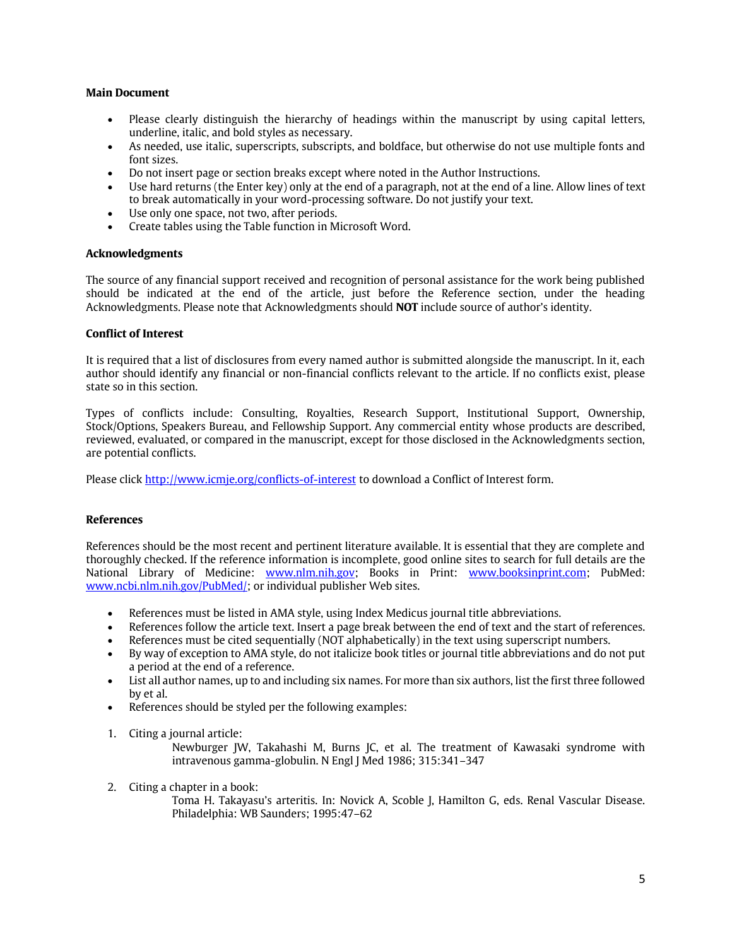## **Main Document**

- Please clearly distinguish the hierarchy of headings within the manuscript by using capital letters, underline, italic, and bold styles as necessary.
- As needed, use italic, superscripts, subscripts, and boldface, but otherwise do not use multiple fonts and font sizes.
- Do not insert page or section breaks except where noted in the Author Instructions.
- Use hard returns (the Enter key) only at the end of a paragraph, not at the end of a line. Allow lines of text to break automatically in your word-processing software. Do not justify your text.
- Use only one space, not two, after periods.
- Create tables using the Table function in Microsoft Word.

### **Acknowledgments**

The source of any financial support received and recognition of personal assistance for the work being published should be indicated at the end of the article, just before the Reference section, under the heading Acknowledgments. Please note that Acknowledgments should **NOT** include source of author's identity.

### **Conflict of Interest**

It is required that a list of disclosures from every named author is submitted alongside the manuscript. In it, each author should identify any financial or non-financial conflicts relevant to the article. If no conflicts exist, please state so in this section.

Types of conflicts include: Consulting, Royalties, Research Support, Institutional Support, Ownership, Stock/Options, Speakers Bureau, and Fellowship Support. Any commercial entity whose products are described, reviewed, evaluated, or compared in the manuscript, except for those disclosed in the Acknowledgments section, are potential conflicts.

Please click<http://www.icmje.org/conflicts-of-interest> to download a Conflict of Interest form.

## **References**

References should be the most recent and pertinent literature available. It is essential that they are complete and thoroughly checked. If the reference information is incomplete, good online sites to search for full details are the National Library of Medicine: [www.nlm.nih.gov;](http://www.nlm.nih.gov/) Books in Print: [www.booksinprint.com;](http://www.booksinprint.com/) PubMed: [www.ncbi.nlm.nih.gov/PubMed/;](http://www.ncbi.nlm.nih.gov/PubMed/) or individual publisher Web sites.

- References must be listed in AMA style, using Index Medicus journal title abbreviations.
- References follow the article text. Insert a page break between the end of text and the start of references.
- References must be cited sequentially (NOT alphabetically) in the text using superscript numbers.
- By way of exception to AMA style, do not italicize book titles or journal title abbreviations and do not put a period at the end of a reference.
- List all author names, up to and including six names. For more than six authors, list the first three followed by et al.
- References should be styled per the following examples:
- 1. Citing a journal article:
	- Newburger JW, Takahashi M, Burns JC, et al. The treatment of Kawasaki syndrome with intravenous gamma-globulin. N Engl J Med 1986; 315:341–347
- 2. Citing a chapter in a book:
	- Toma H. Takayasu's arteritis. In: Novick A, Scoble J, Hamilton G, eds. Renal Vascular Disease. Philadelphia: WB Saunders; 1995:47–62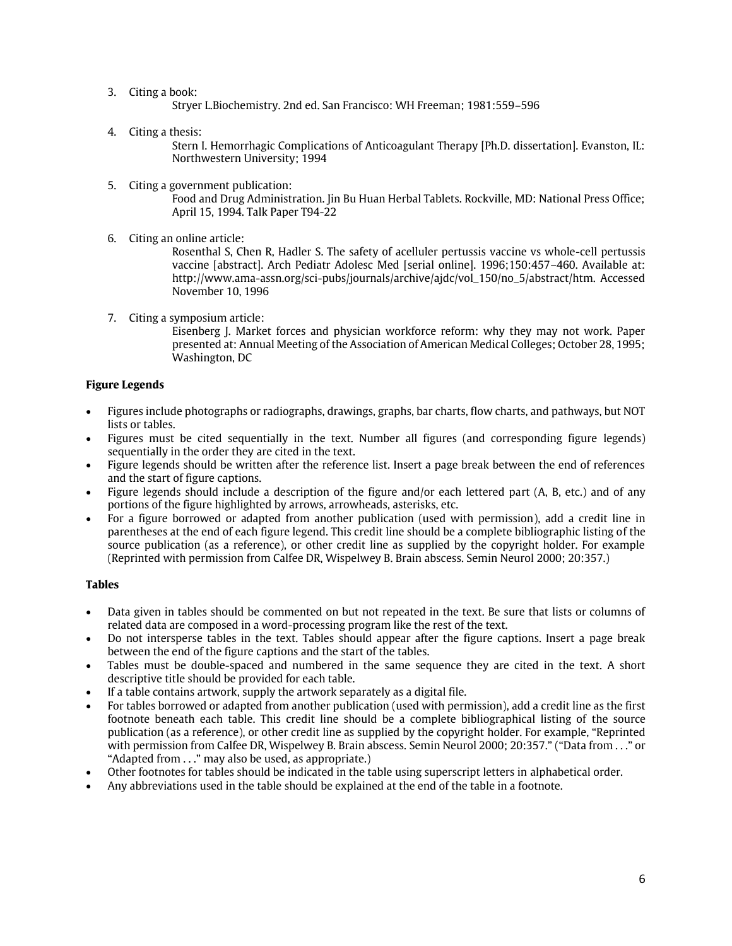3. Citing a book:

Stryer L.Biochemistry. 2nd ed. San Francisco: WH Freeman; 1981:559–596

4. Citing a thesis:

Stern I. Hemorrhagic Complications of Anticoagulant Therapy [Ph.D. dissertation]. Evanston, IL: Northwestern University; 1994

5. Citing a government publication:

Food and Drug Administration. Jin Bu Huan Herbal Tablets. Rockville, MD: National Press Office; April 15, 1994. Talk Paper T94-22

6. Citing an online article:

Rosenthal S, Chen R, Hadler S. The safety of acelluler pertussis vaccine vs whole-cell pertussis vaccine [abstract]. Arch Pediatr Adolesc Med [serial online]. 1996;150:457–460. Available at: http://www.ama-assn.org/sci-pubs/journals/archive/ajdc/vol\_150/no\_5/abstract/htm. Accessed November 10, 1996

7. Citing a symposium article:

Eisenberg J. Market forces and physician workforce reform: why they may not work. Paper presented at: Annual Meeting of the Association of American Medical Colleges; October 28, 1995; Washington, DC

## **Figure Legends**

- Figures include photographs or radiographs, drawings, graphs, bar charts, flow charts, and pathways, but NOT lists or tables.
- Figures must be cited sequentially in the text. Number all figures (and corresponding figure legends) sequentially in the order they are cited in the text.
- Figure legends should be written after the reference list. Insert a page break between the end of references and the start of figure captions.
- Figure legends should include a description of the figure and/or each lettered part (A, B, etc.) and of any portions of the figure highlighted by arrows, arrowheads, asterisks, etc.
- For a figure borrowed or adapted from another publication (used with permission), add a credit line in parentheses at the end of each figure legend. This credit line should be a complete bibliographic listing of the source publication (as a reference), or other credit line as supplied by the copyright holder. For example (Reprinted with permission from Calfee DR, Wispelwey B. Brain abscess. Semin Neurol 2000; 20:357.)

## **Tables**

- Data given in tables should be commented on but not repeated in the text. Be sure that lists or columns of related data are composed in a word-processing program like the rest of the text.
- Do not intersperse tables in the text. Tables should appear after the figure captions. Insert a page break between the end of the figure captions and the start of the tables.
- Tables must be double-spaced and numbered in the same sequence they are cited in the text. A short descriptive title should be provided for each table.
- If a table contains artwork, supply the artwork separately as a digital file.
- For tables borrowed or adapted from another publication (used with permission), add a credit line as the first footnote beneath each table. This credit line should be a complete bibliographical listing of the source publication (as a reference), or other credit line as supplied by the copyright holder. For example, "Reprinted with permission from Calfee DR, Wispelwey B. Brain abscess. Semin Neurol 2000; 20:357." ("Data from . . ." or "Adapted from . . ." may also be used, as appropriate.)
- Other footnotes for tables should be indicated in the table using superscript letters in alphabetical order.
- Any abbreviations used in the table should be explained at the end of the table in a footnote.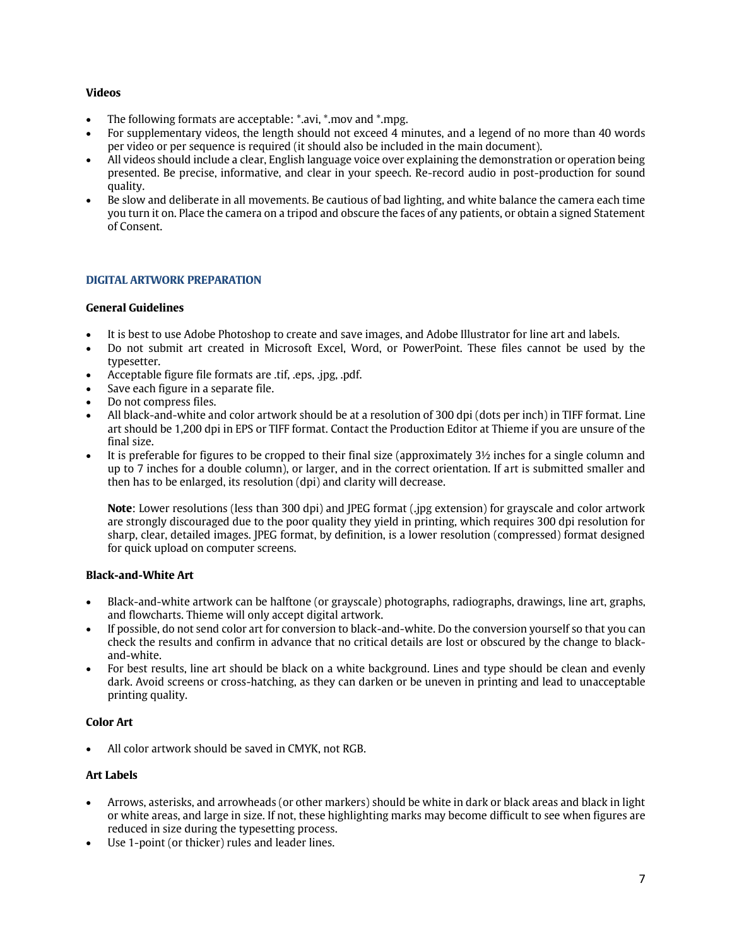## **Videos**

- The following formats are acceptable: \*.avi, \*.mov and \*.mpg.
- For supplementary videos, the length should not exceed 4 minutes, and a legend of no more than 40 words per video or per sequence is required (it should also be included in the main document).
- All videos should include a clear, English language voice over explaining the demonstration or operation being presented. Be precise, informative, and clear in your speech. Re-record audio in post-production for sound quality.
- Be slow and deliberate in all movements. Be cautious of bad lighting, and white balance the camera each time you turn it on. Place the camera on a tripod and obscure the faces of any patients, or obtain a signed Statement of Consent.

## **DIGITAL ARTWORK PREPARATION**

## **General Guidelines**

- It is best to use Adobe Photoshop to create and save images, and Adobe Illustrator for line art and labels.
- Do not submit art created in Microsoft Excel, Word, or PowerPoint. These files cannot be used by the typesetter.
- Acceptable figure file formats are .tif, .eps, .jpg, .pdf.
- Save each figure in a separate file.
- Do not compress files.
- All black-and-white and color artwork should be at a resolution of 300 dpi (dots per inch) in TIFF format. Line art should be 1,200 dpi in EPS or TIFF format. Contact the Production Editor at Thieme if you are unsure of the final size.
- It is preferable for figures to be cropped to their final size (approximately 3½ inches for a single column and up to 7 inches for a double column), or larger, and in the correct orientation. If art is submitted smaller and then has to be enlarged, its resolution (dpi) and clarity will decrease.

**Note**: Lower resolutions (less than 300 dpi) and JPEG format (.jpg extension) for grayscale and color artwork are strongly discouraged due to the poor quality they yield in printing, which requires 300 dpi resolution for sharp, clear, detailed images. JPEG format, by definition, is a lower resolution (compressed) format designed for quick upload on computer screens.

## **Black-and-White Art**

- Black-and-white artwork can be halftone (or grayscale) photographs, radiographs, drawings, line art, graphs, and flowcharts. Thieme will only accept digital artwork.
- If possible, do not send color art for conversion to black-and-white. Do the conversion yourself so that you can check the results and confirm in advance that no critical details are lost or obscured by the change to blackand-white.
- For best results, line art should be black on a white background. Lines and type should be clean and evenly dark. Avoid screens or cross-hatching, as they can darken or be uneven in printing and lead to unacceptable printing quality.

## **Color Art**

• All color artwork should be saved in CMYK, not RGB.

## **Art Labels**

- Arrows, asterisks, and arrowheads (or other markers) should be white in dark or black areas and black in light or white areas, and large in size. If not, these highlighting marks may become difficult to see when figures are reduced in size during the typesetting process.
- Use 1-point (or thicker) rules and leader lines.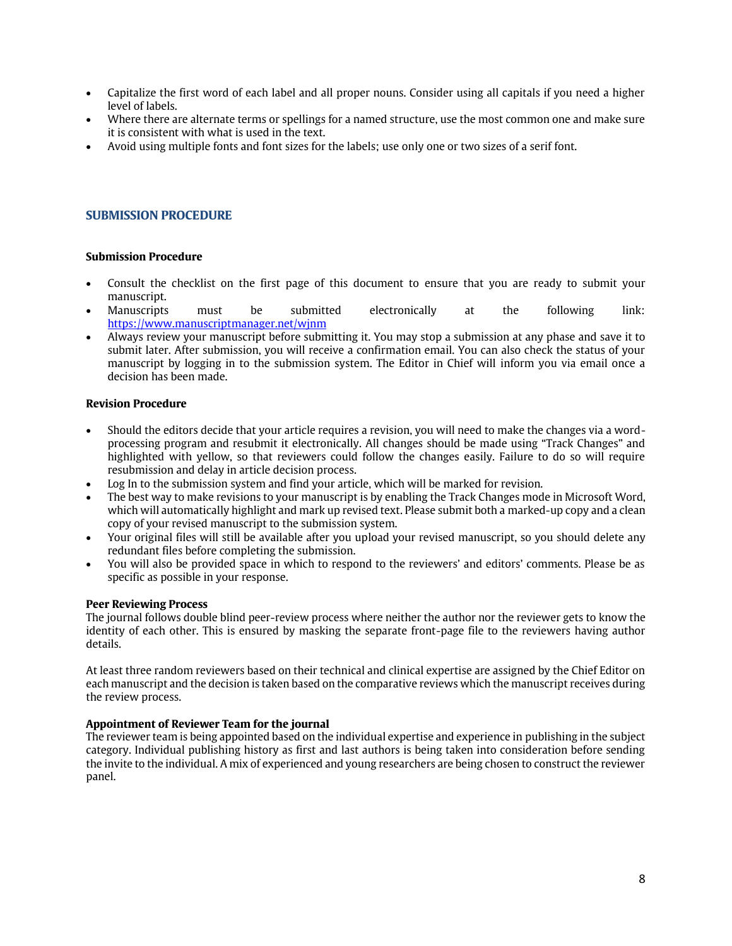- Capitalize the first word of each label and all proper nouns. Consider using all capitals if you need a higher level of labels.
- Where there are alternate terms or spellings for a named structure, use the most common one and make sure it is consistent with what is used in the text.
- Avoid using multiple fonts and font sizes for the labels; use only one or two sizes of a serif font.

## **SUBMISSION PROCEDURE**

### **Submission Procedure**

- Consult the checklist on the first page of this document to ensure that you are ready to submit your manuscript.
- Manuscripts must be submitted electronically at the following link: <https://www.manuscriptmanager.net/wjnm>
- Always review your manuscript before submitting it. You may stop a submission at any phase and save it to submit later. After submission, you will receive a confirmation email. You can also check the status of your manuscript by logging in to the submission system. The Editor in Chief will inform you via email once a decision has been made.

### **Revision Procedure**

- Should the editors decide that your article requires a revision, you will need to make the changes via a wordprocessing program and resubmit it electronically. All changes should be made using "Track Changes" and highlighted with yellow, so that reviewers could follow the changes easily. Failure to do so will require resubmission and delay in article decision process.
- Log In to the submission system and find your article, which will be marked for revision.
- The best way to make revisions to your manuscript is by enabling the Track Changes mode in Microsoft Word, which will automatically highlight and mark up revised text. Please submit both a marked-up copy and a clean copy of your revised manuscript to the submission system.
- Your original files will still be available after you upload your revised manuscript, so you should delete any redundant files before completing the submission.
- You will also be provided space in which to respond to the reviewers' and editors' comments. Please be as specific as possible in your response.

## **Peer Reviewing Process**

The journal follows double blind peer-review process where neither the author nor the reviewer gets to know the identity of each other. This is ensured by masking the separate front-page file to the reviewers having author details.

At least three random reviewers based on their technical and clinical expertise are assigned by the Chief Editor on each manuscript and the decision is taken based on the comparative reviews which the manuscript receives during the review process.

## **Appointment of Reviewer Team for the journal**

The reviewer team is being appointed based on the individual expertise and experience in publishing in the subject category. Individual publishing history as first and last authors is being taken into consideration before sending the invite to the individual. A mix of experienced and young researchers are being chosen to construct the reviewer panel.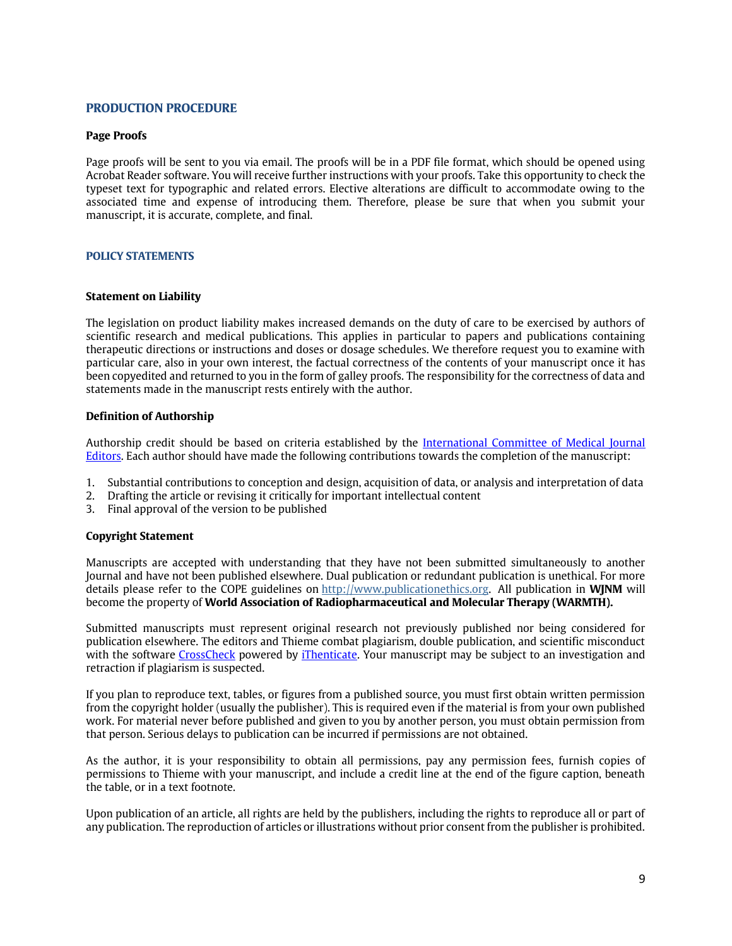## **PRODUCTION PROCEDURE**

### **Page Proofs**

Page proofs will be sent to you via email. The proofs will be in a PDF file format, which should be opened using Acrobat Reader software. You will receive further instructions with your proofs. Take this opportunity to check the typeset text for typographic and related errors. Elective alterations are difficult to accommodate owing to the associated time and expense of introducing them. Therefore, please be sure that when you submit your manuscript, it is accurate, complete, and final.

### **POLICY STATEMENTS**

#### **Statement on Liability**

The legislation on product liability makes increased demands on the duty of care to be exercised by authors of scientific research and medical publications. This applies in particular to papers and publications containing therapeutic directions or instructions and doses or dosage schedules. We therefore request you to examine with particular care, also in your own interest, the factual correctness of the contents of your manuscript once it has been copyedited and returned to you in the form of galley proofs. The responsibility for the correctness of data and statements made in the manuscript rests entirely with the author.

#### **Definition of Authorship**

Authorship credit should be based on criteria established by the *International Committee of Medical Journal* [Editors.](http://www.icmje.org/) Each author should have made the following contributions towards the completion of the manuscript:

- 1. Substantial contributions to conception and design, acquisition of data, or analysis and interpretation of data
- 2. Drafting the article or revising it critically for important intellectual content
- 3. Final approval of the version to be published

#### **Copyright Statement**

Manuscripts are accepted with understanding that they have not been submitted simultaneously to another Journal and have not been published elsewhere. Dual publication or redundant publication is unethical. For more details please refer to the COPE guidelines on [http://www.publicationethics.org.](http://www.publicationethics.org/) All publication in **WJNM** will become the property of **World Association of Radiopharmaceutical and Molecular Therapy (WARMTH).**

Submitted manuscripts must represent original research not previously published nor being considered for publication elsewhere. The editors and Thieme combat plagiarism, double publication, and scientific misconduct with the software [CrossCheck](http://www.crossref.org/crosscheck/) powered by [iThenticate.](http://www.ithenticate.com/) Your manuscript may be subject to an investigation and retraction if plagiarism is suspected.

If you plan to reproduce text, tables, or figures from a published source, you must first obtain written permission from the copyright holder (usually the publisher). This is required even if the material is from your own published work. For material never before published and given to you by another person, you must obtain permission from that person. Serious delays to publication can be incurred if permissions are not obtained.

As the author, it is your responsibility to obtain all permissions, pay any permission fees, furnish copies of permissions to Thieme with your manuscript, and include a credit line at the end of the figure caption, beneath the table, or in a text footnote.

Upon publication of an article, all rights are held by the publishers, including the rights to reproduce all or part of any publication. The reproduction of articles or illustrations without prior consent from the publisher is prohibited.